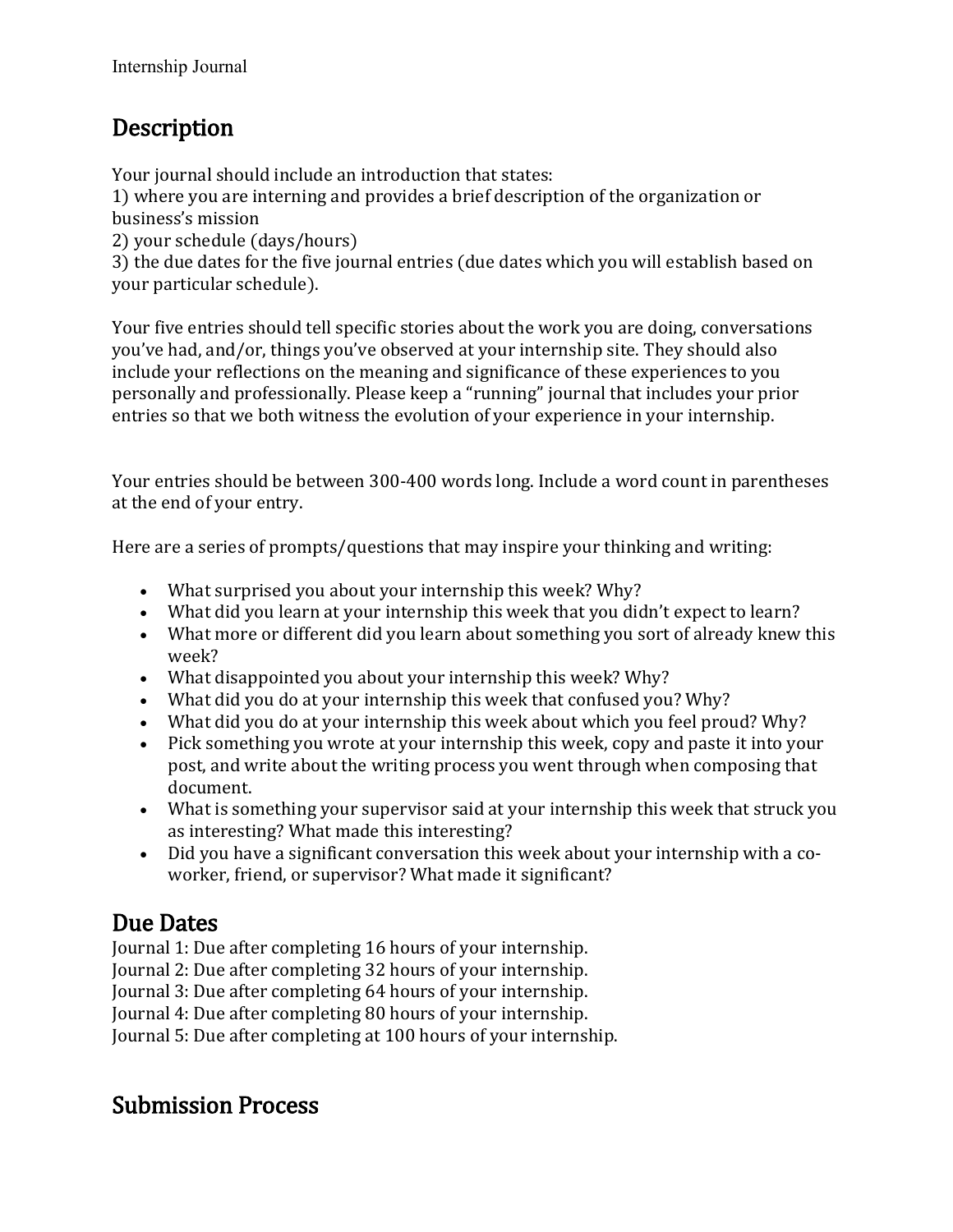## Description

Your journal should include an introduction that states:

1) where you are interning and provides a brief description of the organization or business's mission

2) your schedule (days/hours)

3) the due dates for the five journal entries (due dates which you will establish based on your particular schedule).

Your five entries should tell specific stories about the work you are doing, conversations you've had, and/or, things you've observed at your internship site. They should also include your reflections on the meaning and significance of these experiences to you personally and professionally. Please keep a "running" journal that includes your prior entries so that we both witness the evolution of your experience in your internship.

Your entries should be between 300-400 words long. Include a word count in parentheses at the end of your entry.

Here are a series of prompts/questions that may inspire your thinking and writing:

- What surprised you about your internship this week? Why?
- What did you learn at your internship this week that you didn't expect to learn?
- What more or different did you learn about something you sort of already knew this week?
- What disappointed you about your internship this week? Why?
- What did you do at your internship this week that confused you? Why?
- What did you do at your internship this week about which you feel proud? Why?
- Pick something you wrote at your internship this week, copy and paste it into your post, and write about the writing process you went through when composing that document.
- What is something your supervisor said at your internship this week that struck you as interesting? What made this interesting?
- Did you have a significant conversation this week about your internship with a coworker, friend, or supervisor? What made it significant?

**Due Dates**<br>Journal 1: Due after completing 16 hours of your internship.

Journal 2: Due after completing 32 hours of your internship.

Journal 3: Due after completing 64 hours of your internship.

Journal 4: Due after completing 80 hours of your internship.

Journal 5: Due after completing at 100 hours of your internship.

## Submission Process